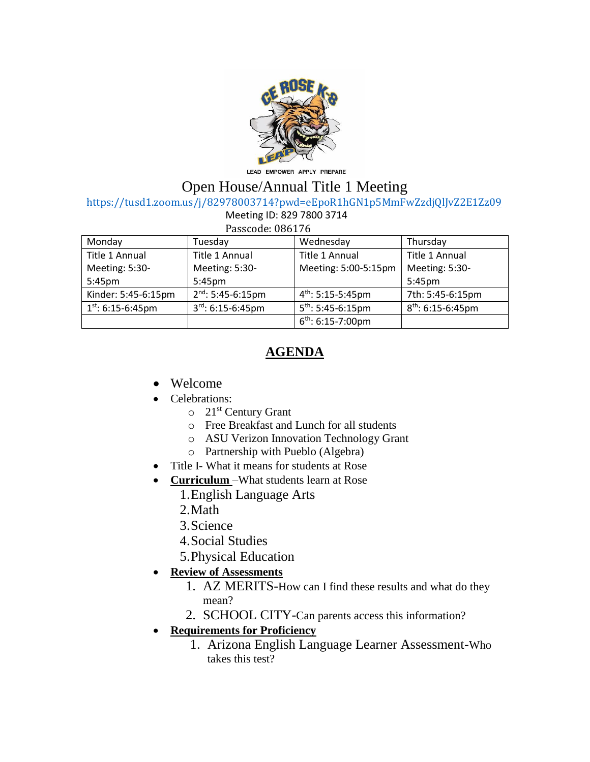

LEAD EMPOWER APPLY PREPARE

## Open House/Annual Title 1 Meeting

<https://tusd1.zoom.us/j/82978003714?pwd=eEpoR1hGN1p5MmFwZzdjQlJvZ2E1Zz09>

| Meeting ID: 829 7800 3714 |  |
|---------------------------|--|
|---------------------------|--|

| ، ، د ام         | $\overline{1111}$ |
|------------------|-------------------|
| Passcode: 086176 |                   |

| Monday                 | Tuesday                | Wednesday                     | Thursday            |
|------------------------|------------------------|-------------------------------|---------------------|
| Title 1 Annual         | Title 1 Annual         | Title 1 Annual                | Title 1 Annual      |
| Meeting: 5:30-         | Meeting: 5:30-         | Meeting: 5:00-5:15pm          | Meeting: 5:30-      |
| 5:45pm                 | 5:45 <sub>pm</sub>     |                               | 5:45 <sub>pm</sub>  |
| Kinder: 5:45-6:15pm    | $2nd$ : 5:45-6:15pm    | $4^{\text{th}}$ : 5:15-5:45pm | 7th: 5:45-6:15pm    |
| $1^{st}$ : 6:15-6:45pm | $3^{rd}$ : 6:15-6:45pm | $5^{th}$ : 5:45-6:15pm        | $8th$ : 6:15-6:45pm |
|                        |                        | $6^{th}$ : 6:15-7:00pm        |                     |

## **AGENDA**

- Welcome
- Celebrations:
	- $\circ$  21<sup>st</sup> Century Grant
	- o Free Breakfast and Lunch for all students
	- o ASU Verizon Innovation Technology Grant
	- o Partnership with Pueblo (Algebra)
- Title I- What it means for students at Rose
- **Curriculum** –What students learn at Rose
	- 1.English Language Arts
	- 2.Math
	- 3.Science
	- 4.Social Studies
	- 5.Physical Education
- **Review of Assessments**
	- 1. AZ MERITS-How can I find these results and what do they mean?
	- 2. SCHOOL CITY-Can parents access this information?
- **Requirements for Proficiency**
	- 1. Arizona English Language Learner Assessment-Who takes this test?